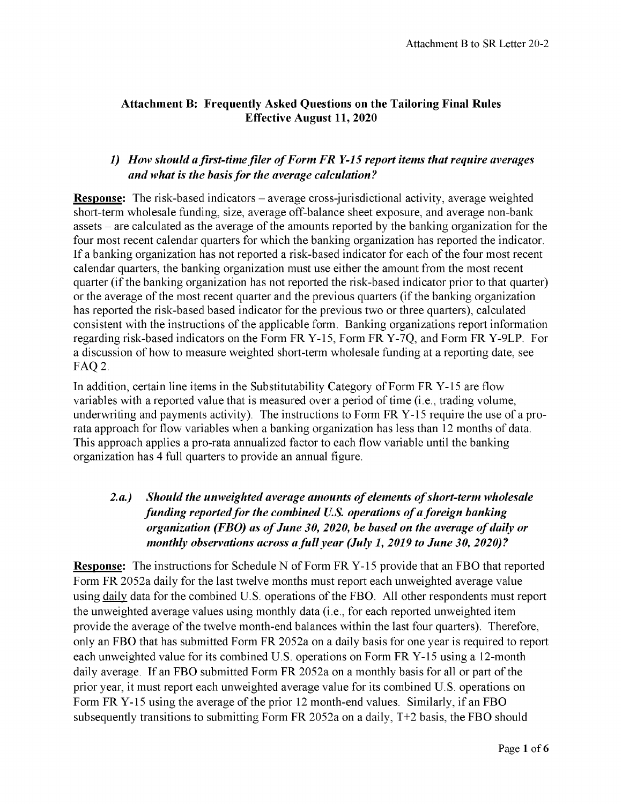### **Attachment B: Frequently Asked Questions on the Tailoring Final Rules Effective August 11, 2020**

### *1) How should a first-time filer of Form FR Y-15 report items that require averages and what is the basis for the average calculation?*

**Response:** The risk-based indicators – average cross-jurisdictional activity, average weighted short-term wholesale funding, size, average off-balance sheet exposure, and average non-bank assets - are calculated as the average of the amounts reported by the banking organization for the four most recent calendar quarters for which the banking organization has reported the indicator. If a banking organization has not reported a risk-based indicator for each of the four most recent calendar quarters, the banking organization must use either the amount from the most recent quarter (if the banking organization has not reported the risk-based indicator prior to that quarter) or the average of the most recent quarter and the previous quarters (if the banking organization has reported the risk-based based indicator for the previous two or three quarters), calculated consistent with the instructions of the applicable form. Banking organizations report information regarding risk-based indicators on the Form FR Y-15, Form FR Y-7Q, and Form FR Y-9LP. For a discussion of how to measure weighted short-term wholesale funding at a reporting date, see FAQ 2.

In addition, certain line items in the Substitutability Category of Form FR Y-15 are flow variables with a reported value that is measured over a period of time (i.e., trading volume, underwriting and payments activity). The instructions to Form FR Y-15 require the use of a prorata approach for flow variables when a banking organization has less than 12 months of data. This approach applies a pro-rata annualized factor to each flow variable until the banking organization has 4 full quarters to provide an annual figure.

# *2.a.) Should the unweighted average amounts of elements ofshort-term wholesale funding reported for the combined U.S. operations of a foreign banking organization (FBO) as of June 30, 2020, be based on the average of daily or monthly observations across a full year (July 1, 2019 to June 30, 2020)?*

**Response:** The instructions for Schedule N of Form FR Y-15 provide that an FBO that reported Form FR 2052a daily for the last twelve months must report each unweighted average value using daily data for the combined U.S. operations of the FBO. All other respondents must report the unweighted average values using monthly data (i.e., for each reported unweighted item provide the average of the twelve month-end balances within the last four quarters). Therefore, only an FBO that has submitted Form FR 2052a on a daily basis for one year is required to report each unweighted value for its combined U.S. operations on Form FR Y-15 using a 12-month daily average. If an FBO submitted Form FR 2052a on a monthly basis for all or part of the prior year, it must report each unweighted average value for its combined U.S. operations on Form FR Y-15 using the average of the prior 12 month-end values. Similarly, if an FBO subsequently transitions to submitting Form FR 2052a on a daily,  $T+2$  basis, the FBO should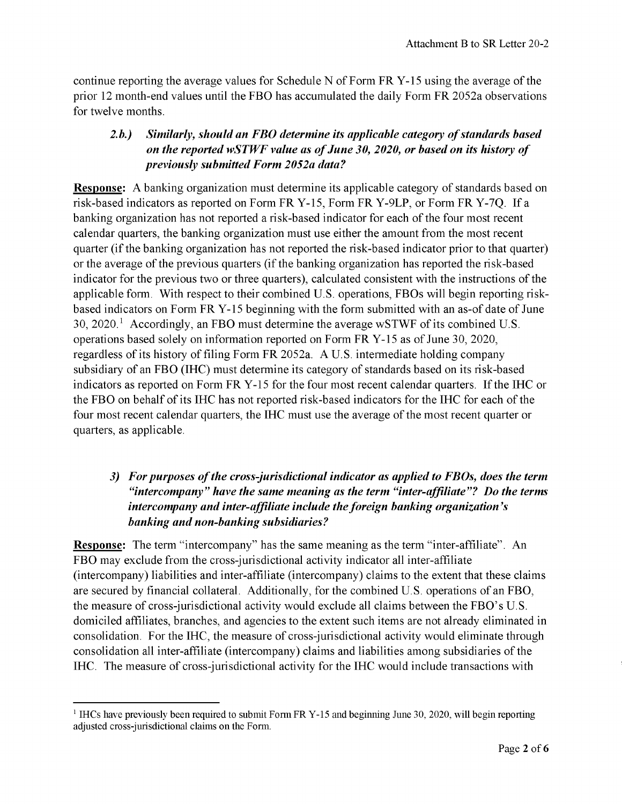continue reporting the average values for Schedule N of Form FR Y-15 using the average of the prior 12 month-end values until the FBO has accumulated the daily Form FR 2052a observations for twelve months.

## *2.b.) Similarly, should an FBO determine its applicable category of standards based on the reported wSTWF value as of June 30, 2020, or based on its history of previously submitted Form 2052a data?*

**Response:** A banking organization must determine its applicable category of standards based on risk-based indicators as reported on Form FR Y-15, Form FR Y-9LP, or Form FR Y-7Q. If a banking organization has not reported a risk-based indicator for each of the four most recent calendar quarters, the banking organization must use either the amount from the most recent quarter (if the banking organization has not reported the risk-based indicator prior to that quarter) or the average of the previous quarters (if the banking organization has reported the risk-based indicator for the previous two or three quarters), calculated consistent with the instructions of the applicable form. With respect to their combined U.S. operations, FBOs will begin reporting riskbased indicators on Form FR Y-15 beginning with the form submitted with an as-of date of June  $30, 2020$   $\frac{1}{1}$  $\frac{1}{1}$  $\frac{1}{1}$  Accordingly, an FBO must determine the average wSTWF of its combined U.S. operations based solely on information reported on Form FR Y-15 as of June 30, 2020, regardless of its history of filing Form FR 2052a. A U.S. intermediate holding company subsidiary of an FBO (IHC) must determine its category of standards based on its risk-based indicators as reported on Form FR Y-15 for the four most recent calendar quarters. If the IHC or the FBO on behalf of its IHC has not reported risk-based indicators for the IHC for each of the four most recent calendar quarters, the IHC must use the average of the most recent quarter or quarters, as applicable.

## *3) For purposes of the cross-jurisdictional indicator as applied to FBOs, does the term "intercompany" have the same meaning as the term "inter-affiliate"? Do the terms intercompany and inter-affiliate include the foreign banking organization's banking and non-banking subsidiaries?*

**Response:** The term "intercompany" has the same meaning as the term "inter-affiliate". An FBO may exclude from the cross-jurisdictional activity indicator all inter-affiliate (intercompany) liabilities and inter-affiliate (intercompany) claims to the extent that these claims are secured by financial collateral. Additionally, for the combined U.S. operations of an FBO, the measure of cross-jurisdictional activity would exclude all claims between the FBO's U.S. domiciled affiliates, branches, and agencies to the extent such items are not already eliminated in consolidation. For the IHC, the measure of cross-jurisdictional activity would eliminate through consolidation all inter-affiliate (intercompany) claims and liabilities among subsidiaries ofthe IHC. The measure of cross-jurisdictional activity for the IHC would include transactions with

<span id="page-1-0"></span> $<sup>1</sup>$  IHCs have previously been required to submit Form FR Y-15 and beginning June 30, 2020, will begin reporting</sup> adjusted cross-jurisdictional claims on the Form.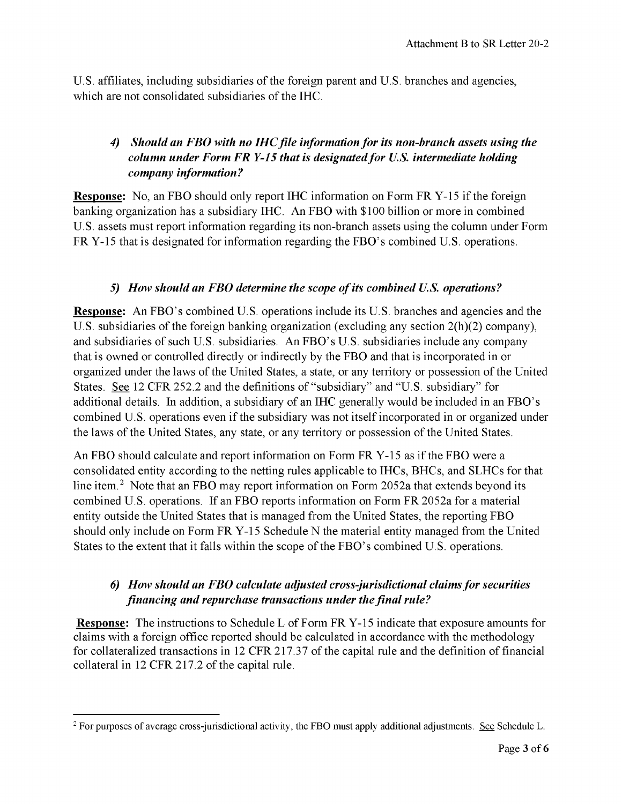U.S. affiliates, including subsidiaries of the foreign parent and U.S. branches and agencies, which are not consolidated subsidiaries of the IHC.

# *4) Should an FBO with no IHC file information for its non-branch assets using the column under Form FR Y-15 that is designated for U.S. intermediate holding company information?*

**Response:** No, an FBO should only report IHC information on Form FR Y-15 if the foreign banking organization has a subsidiary IHC. An FBO with \$100 billion or more in combined U.S. assets must report information regarding its non-branch assets using the column under Form FR Y-15 that is designated for information regarding the FBO's combined U.S. operations.

### *5) How should an FBO determine the scope of its combined U.S. operations?*

**Response:** An FBO's combined U.S. operations include its U.S. branches and agencies and the U.S. subsidiaries of the foreign banking organization (excluding any section  $2(h)(2)$  company), and subsidiaries of such U.S. subsidiaries. An FBO's U.S. subsidiaries include any company that is owned or controlled directly or indirectly by the FBO and that is incorporated in or organized under the laws of the United States, a state, or any territory or possession of the United States. See 12 CFR 252.2 and the definitions of "subsidiary" and "U.S. subsidiary" for additional details. In addition, a subsidiary of an IHC generally would be included in an FBO's combined U.S. operations even if the subsidiary was not itself incorporated in or organized under the laws of the United States, any state, or any territory or possession of the United States.

An FBO should calculate and report information on Form FR Y-15 as ifthe FBO were a consolidated entity according to the netting rules applicable to IHCs, BHCs, and SLHCs for that line item.<sup>2</sup> Note that an FBO may report information on Form 2052a that extends beyond its combined U.S. operations. If an FBO reports information on Form FR 2052a for a material entity outside the United States that is managed from the United States, the reporting FBO should only include on Form FR Y-15 Schedule N the material entity managed from the United States to the extent that it falls within the scope of the FBO's combined U.S. operations.

## *6) How should an FBO calculate adjusted cross-jurisdictional claims for securities financing and repurchase transactions under the final rule?*

**Response:** The instructions to Schedule L of Form FR Y-15 indicate that exposure amounts for claims with a foreign office reported should be calculated in accordance with the methodology for collateralized transactions in 12 CFR 217.37 of the capital rule and the definition of financial collateral in 12 CFR 217.2 of the capital rule.

<span id="page-2-0"></span> $2$  For purposes of average cross-jurisdictional activity, the FBO must apply additional adjustments. See Schedule L.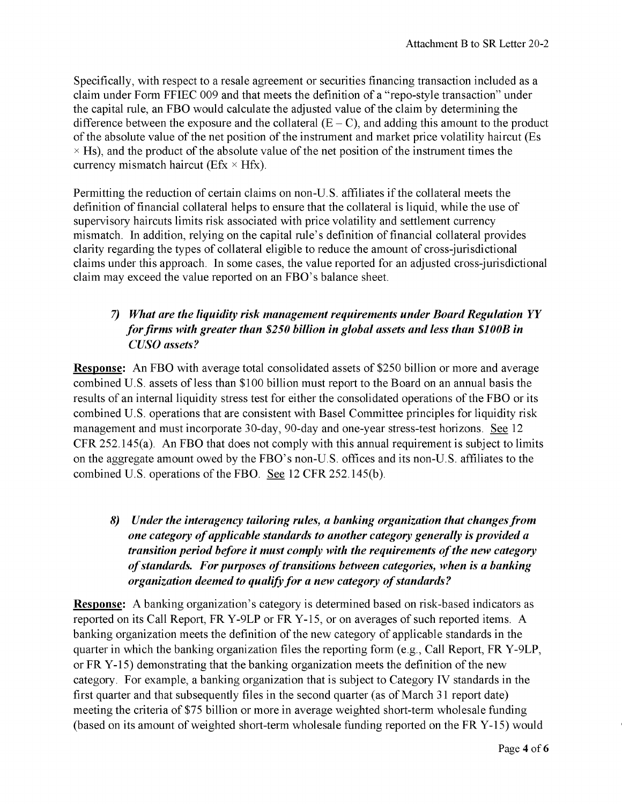Specifically, with respect to a resale agreement or securities financing transaction included as a claim under Form FFIEC 009 and that meets the definition of a "repo-style transaction" under the capital rule, an FBO would calculate the adjusted value of the claim by determining the difference between the exposure and the collateral  $(E - C)$ , and adding this amount to the product of the absolute value of the net position of the instrument and market price volatility haircut (Es  $\times$  Hs), and the product of the absolute value of the net position of the instrument times the currency mismatch haircut ( $Efx \times Hfx$ ).

Permitting the reduction of certain claims on non-U.S. affiliates if the collateral meets the definition of financial collateral helps to ensure that the collateral is liquid, while the use of supervisory haircuts limits risk associated with price volatility and settlement currency mismatch. In addition, relying on the capital rule's definition of financial collateral provides clarity regarding the types of collateral eligible to reduce the amount of cross-jurisdictional claims under this approach. In some cases, the value reported for an adjusted cross-jurisdictional claim may exceed the value reported on an FBO's balance sheet.

# *7) What are the liquidity risk management requirements under Board Regulation YY for firms with greater than \$250 billion in global assets and less than \$100B in CUSO assets?*

**Response:** An FBO with average total consolidated assets of \$250 billion or more and average combined U.S. assets of less than \$100 billion must report to the Board on an annual basis the results of an internal liquidity stress test for either the consolidated operations of the FBO or its combined U.S. operations that are consistent with Basel Committee principles for liquidity risk management and must incorporate 30-day, 90-day and one-year stress-test horizons. See 12 CFR 252.145(a). An FBO that does not comply with this annual requirement is subject to limits on the aggregate amount owed by the FBO's non-U.S. offices and its non-U.S. affiliates to the combined U.S. operations of the FBO. See 12 CFR 252.145(b).

*8) Under the interagency tailoring rules, a banking organization that changes from one category of applicable standards to another category generally is provided a transition period before it must comply with the requirements of the new category of standards. For purposes of transitions between categories, when is a banking organization deemed to qualify for a new category of standards?*

**Response:** A banking organization's category is determined based on risk-based indicators as reported on its Call Report, FR Y-9LP or FR Y-15, or on averages of such reported items. A banking organization meets the definition of the new category of applicable standards in the quarter in which the banking organization files the reporting form (e.g., Call Report, FR Y-9LP, or  $FR$  Y-15) demonstrating that the banking organization meets the definition of the new category. For example, a banking organization that is subject to Category IV standards in the first quarter and that subsequently files in the second quarter (as of March 31 report date) meeting the criteria of \$75 billion or more in average weighted short-term wholesale funding (based on its amount of weighted short-term wholesale funding reported on the FR  $Y-15$ ) would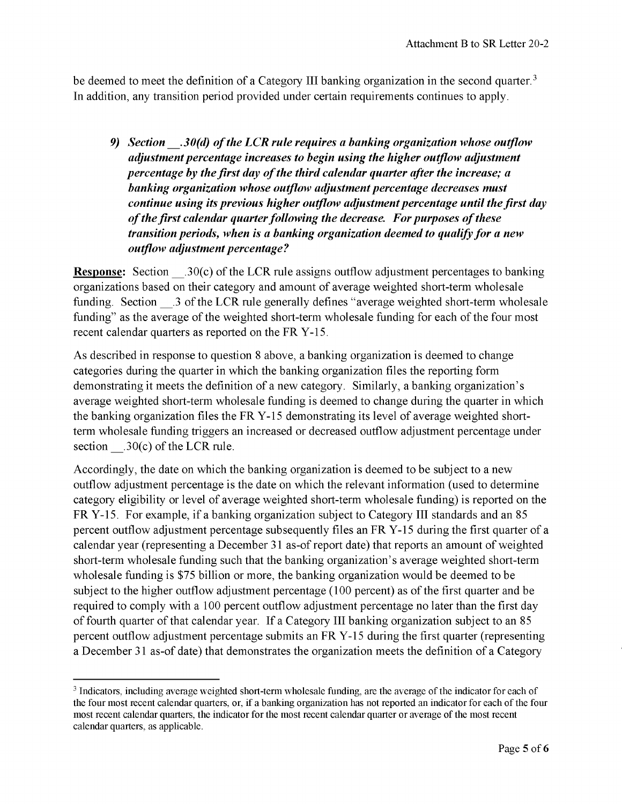be deemed to meet the definition of a Category III banking organization in the second quarter.<sup>[3](#page-4-0)</sup> In addition, any transition period provided under certain requirements continues to apply.

*9) Section \_\_.30(d) of the LCR rule requires a banking organization whose outflow adjustment percentage increases to begin using the higher outflow adjustment percentage by the first day of the third calendar quarter after the increase; a banking organization whose outflow adjustment percentage decreases must continue using its previous higher outflow adjustment percentage until the first day of the first calendar quarter following the decrease. For purposes of these transition periods, when is a banking organization deemed to qualify for a new outflow adjustment percentage?*

**Response:** Section .30(c) of the LCR rule assigns outflow adjustment percentages to banking organizations based on their category and amount of average weighted short-term wholesale funding. Section .3 of the LCR rule generally defines "average weighted short-term wholesale funding" as the average of the weighted short-term wholesale funding for each of the four most recent calendar quarters as reported on the FR Y-15.

As described in response to question 8 above, a banking organization is deemed to change categories during the quarter in which the banking organization files the reporting form demonstrating it meets the definition of a new category. Similarly, a banking organization's average weighted short-term wholesale funding is deemed to change during the quarter in which the banking organization files the FR Y-15 demonstrating its level of average weighted shortterm wholesale funding triggers an increased or decreased outflow adjustment percentage under section  $.30(c)$  of the LCR rule.

Accordingly, the date on which the banking organization is deemed to be subject to a new outflow adjustment percentage is the date on which the relevant information (used to determine category eligibility or level of average weighted short-term wholesale funding) is reported on the FR Y-15. For example, if a banking organization subject to Category III standards and an 85 percent outflow adjustment percentage subsequently files an FR Y-15 during the first quarter of a calendar year (representing a December 31 as-of report date) that reports an amount of weighted short-term wholesale funding such that the banking organization's average weighted short-term wholesale funding is \$75 billion or more, the banking organization would be deemed to be subject to the higher outflow adjustment percentage (100 percent) as of the first quarter and be required to comply with a 100 percent outflow adjustment percentage no later than the first day of fourth quarter of that calendar year. If a Category III banking organization subject to an 85 percent outflow adjustment percentage submits an FR Y-15 during the first quarter (representing a December 31 as-of date) that demonstrates the organization meets the definition of a Category

<span id="page-4-0"></span><sup>&</sup>lt;sup>3</sup> Indicators, including average weighted short-term wholesale funding, are the average of the indicator for each of the four most recent calendar quarters, or, if a banking organization has not reported an indicator for each of the four most recent calendar quarters, the indicator for the most recent calendar quarter or average of the most recent calendar quarters, as applicable.